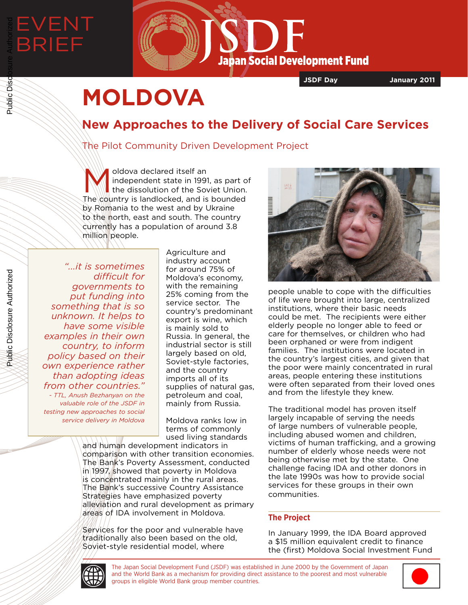

**JSDF Day January 2011**

# **MOLDOVA**

## **New Approaches to the Delivery of Social Care Services**

### The Pilot Community Driven Development Project

Moldova declared itself an<br>
independent state in 1991<br>
the dissolution of the Sov independent state in 1991, as part of the dissolution of the Soviet Union.  $The$  country is landlocked, and is bounded by Romania to the west and by Ukraine to the north, east and south. The country currently has a population of around 3.8 million people.

*"...it is sometimes difficult for governments to put funding into something that is so unknown. It helps to have some visible examples in their own country, to inform policy based on their own experience rather than adopting ideas from other countries." - TTL, Anush Bezhanyan on the valuable role of the JSDF in testing new approaches to social service delivery in Moldova*

Agriculture and industry account for around 75% of Moldova's economy, with the remaining 25% coming from the service sector. The country's predominant export is wine, which is mainly sold to Russia. In general, the industrial sector is still largely based on old, Soviet-style factories, and the country imports all of its supplies of natural gas, petroleum and coal, mainly from Russia.

Moldova ranks low in terms of commonly used living standards

and human development indicators in comparison with other transition economies. The Bank's Poverty Assessment, conducted in 1997, showed that poverty in Moldova is concentrated mainly in the rural areas. The Bank's successive Country Assistance Strategies have emphasized poverty alleviation and rural development as primary areas of IDA involvement in Moldova.

Services for the poor and vulnerable have traditionally also been based on the old, Soviet-style residential model, where



people unable to cope with the difficulties of life were brought into large, centralized institutions, where their basic needs could be met. The recipients were either elderly people no longer able to feed or care for themselves, or children who had been orphaned or were from indigent families. The institutions were located in the country's largest cities, and given that the poor were mainly concentrated in rural areas, people entering these institutions were often separated from their loved ones and from the lifestyle they knew.

The traditional model has proven itself largely incapable of serving the needs of large numbers of vulnerable people, including abused women and children, victims of human trafficking, and a growing number of elderly whose needs were not being otherwise met by the state. One challenge facing IDA and other donors in the late 1990s was how to provide social services for these groups in their own communities.

#### **The Project**

In January 1999, the IDA Board approved a \$15 million equivalent credit to finance the (first) Moldova Social Investment Fund



The Japan Social Development Fund (JSDF) was established in June 2000 by the Government of Japan and the World Bank as a mechanism for providing direct assistance to the poorest and most vulnerable groups in eligible World Bank group member countries.



Public Disclosure Authorized

Public Disclosure Authorized

Public Disc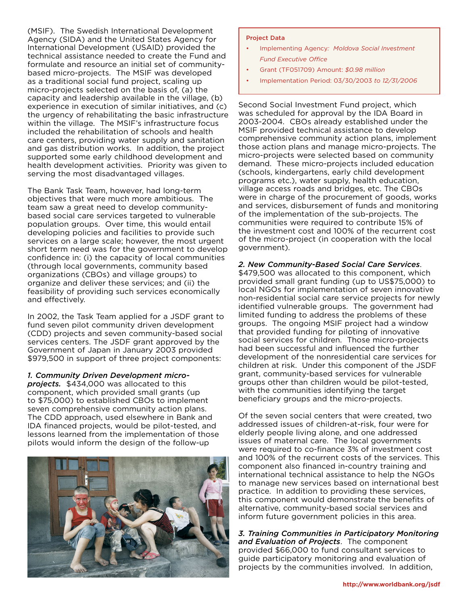(MSIF). The Swedish International Development Agency (SIDA) and the United States Agency for International Development (USAID) provided the technical assistance needed to create the Fund and formulate and resource an initial set of communitybased micro-projects. The MSIF was developed as a traditional social fund project, scaling up micro-projects selected on the basis of, (a) the capacity and leadership available in the village, (b) experience in execution of similar initiatives, and (c) the urgency of rehabilitating the basic infrastructure within the village. The MSIF's infrastructure focus included the rehabilitation of schools and health care centers, providing water supply and sanitation and gas distribution works. In addition, the project supported some early childhood development and health development activities. Priority was given to serving the most disadvantaged villages.

The Bank Task Team, however, had long-term objectives that were much more ambitious. The team saw a great need to develop communitybased social care services targeted to vulnerable population groups. Over time, this would entail developing policies and facilities to provide such services on a large scale; however, the most urgent short term need was for the government to develop confidence in: (i) the capacity of local communities (through local governments, community based organizations (CBOs) and village groups) to organize and deliver these services; and (ii) the feasibility of providing such services economically and effectively.

In 2002, the Task Team applied for a JSDF grant to fund seven pilot community driven development (CDD) projects and seven community-based social services centers. The JSDF grant approved by the Government of Japan in January 2003 provided \$979,500 in support of three project components:

#### *1. Community Driven Development micro-*

*projects.* \$434,000 was allocated to this component, which provided small grants (up to \$75,000) to established CBOs to implement seven comprehensive community action plans. The CDD approach, used elsewhere in Bank and IDA financed projects, would be pilot-tested, and lessons learned from the implementation of those pilots would inform the design of the follow-up



#### Project Data

- Implementing Agency*: Moldova Social Investment Fund Executive Office*
- Grant (TF051709) Amount: *\$0.98 million*
- Implementation Period: 03/30/2003 *to 12/31/2006*

Second Social Investment Fund project, which was scheduled for approval by the IDA Board in 2003-2004. CBOs already established under the MSIF provided technical assistance to develop comprehensive community action plans, implement those action plans and manage micro-projects. The micro-projects were selected based on community demand. These micro-projects included education (schools, kindergartens, early child development programs etc.), water supply, health education, village access roads and bridges, etc. The CBOs were in charge of the procurement of goods, works and services, disbursement of funds and monitoring of the implementation of the sub-projects. The communities were required to contribute 15% of the investment cost and 100% of the recurrent cost of the micro-project (in cooperation with the local government).

#### *2. New Community-Based Social Care Services*.

\$479,500 was allocated to this component, which provided small grant funding (up to US\$75,000) to local NGOs for implementation of seven innovative non-residential social care service projects for newly identified vulnerable groups. The government had limited funding to address the problems of these groups. The ongoing MSIF project had a window that provided funding for piloting of innovative social services for children. Those micro-projects had been successful and influenced the further development of the nonresidential care services for children at risk. Under this component of the JSDF grant, community-based services for vulnerable groups other than children would be pilot-tested, with the communities identifying the target beneficiary groups and the micro-projects.

Of the seven social centers that were created, two addressed issues of children-at-risk, four were for elderly people living alone, and one addressed issues of maternal care. The local governments were required to co-finance 3% of investment cost and 100% of the recurrent costs of the services. This component also financed in-country training and international technical assistance to help the NGOs to manage new services based on international best practice. In addition to providing these services, this component would demonstrate the benefits of alternative, community-based social services and inform future government policies in this area.

*3. Training Communities in Participatory Monitoring and Evaluation of Projects*. The component provided \$66,000 to fund consultant services to guide participatory monitoring and evaluation of projects by the communities involved. In addition,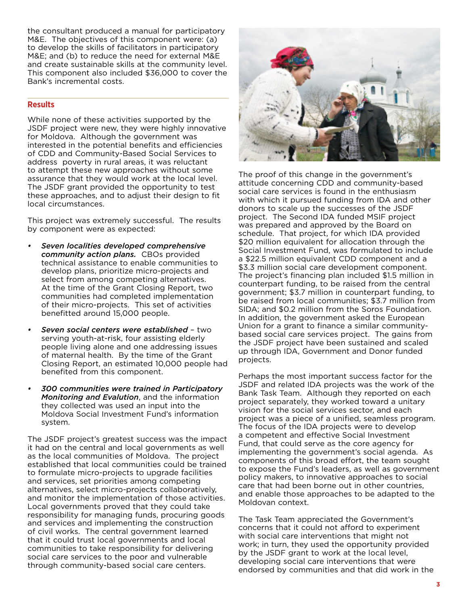the consultant produced a manual for participatory M&E. The objectives of this component were: (a) to develop the skills of facilitators in participatory M&E; and (b) to reduce the need for external M&E and create sustainable skills at the community level. This component also included \$36,000 to cover the Bank's incremental costs.

#### **Results**

While none of these activities supported by the JSDF project were new, they were highly innovative for Moldova. Although the government was interested in the potential benefits and efficiencies of CDD and Community-Based Social Services to address poverty in rural areas, it was reluctant to attempt these new approaches without some assurance that they would work at the local level. The JSDF grant provided the opportunity to test these approaches, and to adjust their design to fit local circumstances.

This project was extremely successful. The results by component were as expected:

- *• Seven localities developed comprehensive community action plans.* CBOs provided technical assistance to enable communities to develop plans, prioritize micro-projects and select from among competing alternatives. At the time of the Grant Closing Report, two communities had completed implementation of their micro-projects. This set of activities benefitted around 15,000 people.
- *• Seven social centers were established* two serving youth-at-risk, four assisting elderly people living alone and one addressing issues of maternal health. By the time of the Grant Closing Report, an estimated 10,000 people had benefited from this component.
- *• 300 communities were trained in Participatory Monitoring and Evalution*, and the information they collected was used an input into the Moldova Social Investment Fund's information system.

The JSDF project's greatest success was the impact it had on the central and local governments as well as the local communities of Moldova. The project established that local communities could be trained to formulate micro-projects to upgrade facilities and services, set priorities among competing alternatives, select micro-projects collaboratively, and monitor the implementation of those activities. Local governments proved that they could take responsibility for managing funds, procuring goods and services and implementing the construction of civil works. The central government learned that it could trust local governments and local communities to take responsibility for delivering social care services to the poor and vulnerable through community-based social care centers.



The proof of this change in the government's attitude concerning CDD and community-based social care services is found in the enthusiasm with which it pursued funding from IDA and other donors to scale up the successes of the JSDF project. The Second IDA funded MSIF project was prepared and approved by the Board on schedule. That project, for which IDA provided \$20 million equivalent for allocation through the Social Investment Fund, was formulated to include a \$22.5 million equivalent CDD component and a \$3.3 million social care development component. The project's financing plan included \$1.5 million in counterpart funding, to be raised from the central government; \$3.7 million in counterpart funding, to be raised from local communities; \$3.7 million from SIDA; and \$0.2 million from the Soros Foundation. In addition, the government asked the European Union for a grant to finance a similar communitybased social care services project. The gains from the JSDF project have been sustained and scaled up through IDA, Government and Donor funded projects.

Perhaps the most important success factor for the JSDF and related IDA projects was the work of the Bank Task Team. Although they reported on each project separately, they worked toward a unitary vision for the social services sector, and each project was a piece of a unified, seamless program. The focus of the IDA projects were to develop a competent and effective Social Investment Fund, that could serve as the core agency for implementing the government's social agenda. As components of this broad effort, the team sought to expose the Fund's leaders, as well as government policy makers, to innovative approaches to social care that had been borne out in other countries, and enable those approaches to be adapted to the Moldovan context.

The Task Team appreciated the Government's concerns that it could not afford to experiment with social care interventions that might not work; in turn, they used the opportunity provided by the JSDF grant to work at the local level, developing social care interventions that were endorsed by communities and that did work in the